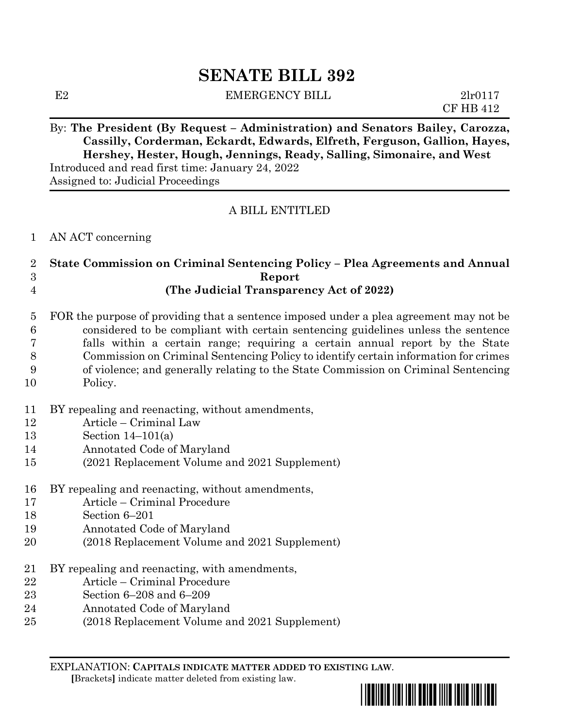# **SENATE BILL 392**

E2 EMERGENCY BILL 2lr0117

CF HB 412

## By: **The President (By Request – Administration) and Senators Bailey, Carozza, Cassilly, Corderman, Eckardt, Edwards, Elfreth, Ferguson, Gallion, Hayes, Hershey, Hester, Hough, Jennings, Ready, Salling, Simonaire, and West** Introduced and read first time: January 24, 2022

Assigned to: Judicial Proceedings

## A BILL ENTITLED

#### AN ACT concerning

#### **State Commission on Criminal Sentencing Policy – Plea Agreements and Annual Report (The Judicial Transparency Act of 2022)**

#### FOR the purpose of providing that a sentence imposed under a plea agreement may not be considered to be compliant with certain sentencing guidelines unless the sentence falls within a certain range; requiring a certain annual report by the State Commission on Criminal Sentencing Policy to identify certain information for crimes of violence; and generally relating to the State Commission on Criminal Sentencing Policy.

- BY repealing and reenacting, without amendments,
- Article Criminal Law
- Section 14–101(a)
- Annotated Code of Maryland
- (2021 Replacement Volume and 2021 Supplement)
- BY repealing and reenacting, without amendments,
- Article Criminal Procedure
- Section 6–201
- Annotated Code of Maryland
- (2018 Replacement Volume and 2021 Supplement)
- BY repealing and reenacting, with amendments,
- Article Criminal Procedure
- Section 6–208 and 6–209
- Annotated Code of Maryland
- (2018 Replacement Volume and 2021 Supplement)

EXPLANATION: **CAPITALS INDICATE MATTER ADDED TO EXISTING LAW**.  **[**Brackets**]** indicate matter deleted from existing law.

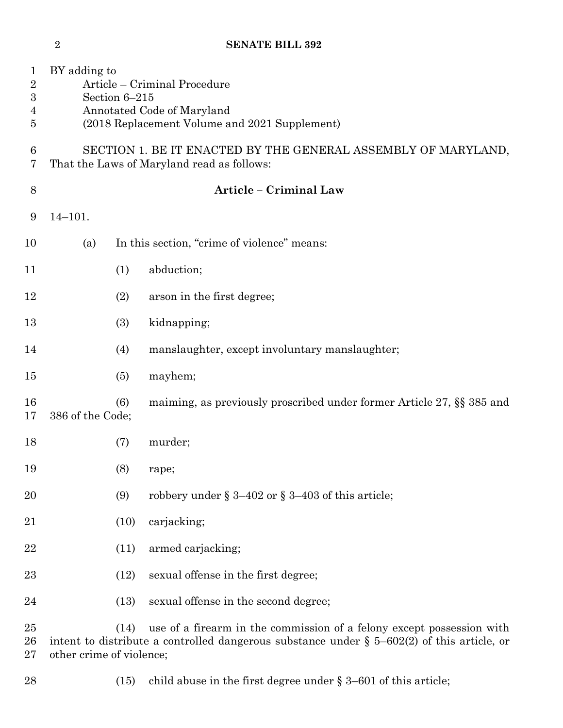|                                                          | $\overline{2}$                                                                                                                               |      | <b>SENATE BILL 392</b>                                                                                                                                                 |
|----------------------------------------------------------|----------------------------------------------------------------------------------------------------------------------------------------------|------|------------------------------------------------------------------------------------------------------------------------------------------------------------------------|
| $\mathbf{1}$<br>$\sqrt{2}$<br>$\boldsymbol{3}$<br>4<br>5 | BY adding to<br>Article – Criminal Procedure<br>Section 6-215<br>Annotated Code of Maryland<br>(2018 Replacement Volume and 2021 Supplement) |      |                                                                                                                                                                        |
| 6<br>7                                                   |                                                                                                                                              |      | SECTION 1. BE IT ENACTED BY THE GENERAL ASSEMBLY OF MARYLAND,<br>That the Laws of Maryland read as follows:                                                            |
| 8                                                        |                                                                                                                                              |      | <b>Article - Criminal Law</b>                                                                                                                                          |
| 9                                                        | $14 - 101.$                                                                                                                                  |      |                                                                                                                                                                        |
| 10                                                       | (a)                                                                                                                                          |      | In this section, "crime of violence" means:                                                                                                                            |
| 11                                                       |                                                                                                                                              | (1)  | abduction;                                                                                                                                                             |
| 12                                                       |                                                                                                                                              | (2)  | arson in the first degree;                                                                                                                                             |
| 13                                                       |                                                                                                                                              | (3)  | kidnapping;                                                                                                                                                            |
| 14                                                       |                                                                                                                                              | (4)  | manslaughter, except involuntary manslaughter;                                                                                                                         |
| 15                                                       |                                                                                                                                              | (5)  | mayhem;                                                                                                                                                                |
| 16<br>17                                                 | 386 of the Code;                                                                                                                             | (6)  | maiming, as previously proscribed under former Article 27, §§ 385 and                                                                                                  |
| 18                                                       |                                                                                                                                              | (7)  | murder;                                                                                                                                                                |
| 19                                                       |                                                                                                                                              | (8)  | rape;                                                                                                                                                                  |
| 20                                                       |                                                                                                                                              | (9)  | robbery under $\S 3-402$ or $\S 3-403$ of this article;                                                                                                                |
| 21                                                       |                                                                                                                                              | (10) | carjacking;                                                                                                                                                            |
| 22                                                       |                                                                                                                                              | (11) | armed carjacking;                                                                                                                                                      |
| $23\,$                                                   |                                                                                                                                              | (12) | sexual offense in the first degree;                                                                                                                                    |
| 24                                                       |                                                                                                                                              | (13) | sexual offense in the second degree;                                                                                                                                   |
| 25<br>26                                                 |                                                                                                                                              | (14) | use of a firearm in the commission of a felony except possession with<br>intent to distribute a controlled dangerous substance under $\S$ 5–602(2) of this article, or |

other crime of violence;

28 (15) child abuse in the first degree under § 3–601 of this article;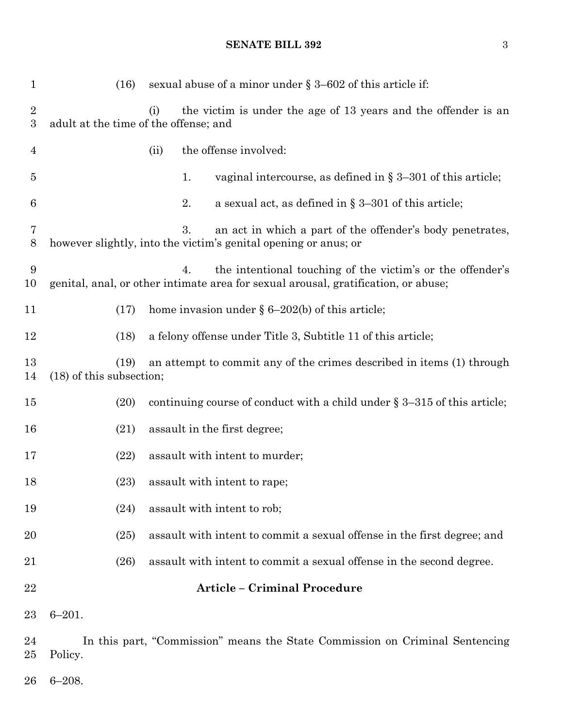(16) sexual abuse of a minor under § 3–602 of this article if: (i) the victim is under the age of 13 years and the offender is an adult at the time of the offense; and (ii) the offense involved: 1. vaginal intercourse, as defined in § 3–301 of this article; 6 2. a sexual act, as defined in  $\S 3-301$  of this article; 3. an act in which a part of the offender's body penetrates, however slightly, into the victim's genital opening or anus; or 4. the intentional touching of the victim's or the offender's genital, anal, or other intimate area for sexual arousal, gratification, or abuse; 11 (17) home invasion under  $\delta$  6–202(b) of this article; (18) a felony offense under Title 3, Subtitle 11 of this article; (19) an attempt to commit any of the crimes described in items (1) through (18) of this subsection; (20) continuing course of conduct with a child under § 3–315 of this article; 16 (21) assault in the first degree; 17 (22) assault with intent to murder; 18 (23) assault with intent to rape; 19 (24) assault with intent to rob; (25) assault with intent to commit a sexual offense in the first degree; and (26) assault with intent to commit a sexual offense in the second degree. **Article – Criminal Procedure** 6–201. In this part, "Commission" means the State Commission on Criminal Sentencing Policy.

6–208.

#### **SENATE BILL 392** 3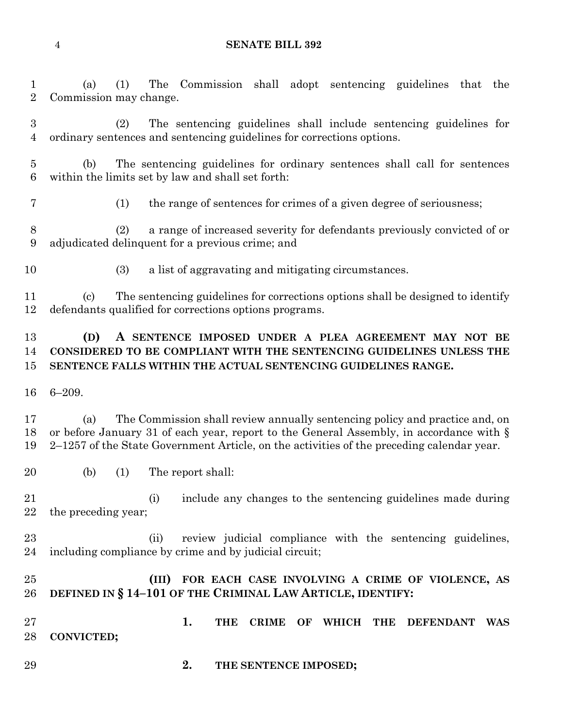#### **SENATE BILL 392**

 (a) (1) The Commission shall adopt sentencing guidelines that the Commission may change.

 (2) The sentencing guidelines shall include sentencing guidelines for ordinary sentences and sentencing guidelines for corrections options.

 (b) The sentencing guidelines for ordinary sentences shall call for sentences within the limits set by law and shall set forth:

(1) the range of sentences for crimes of a given degree of seriousness;

 (2) a range of increased severity for defendants previously convicted of or adjudicated delinquent for a previous crime; and

(3) a list of aggravating and mitigating circumstances.

 (c) The sentencing guidelines for corrections options shall be designed to identify defendants qualified for corrections options programs.

## **(D) A SENTENCE IMPOSED UNDER A PLEA AGREEMENT MAY NOT BE CONSIDERED TO BE COMPLIANT WITH THE SENTENCING GUIDELINES UNLESS THE SENTENCE FALLS WITHIN THE ACTUAL SENTENCING GUIDELINES RANGE.**

6–209.

 (a) The Commission shall review annually sentencing policy and practice and, on or before January 31 of each year, report to the General Assembly, in accordance with § 2–1257 of the State Government Article, on the activities of the preceding calendar year.

(b) (1) The report shall:

 (i) include any changes to the sentencing guidelines made during the preceding year;

 (ii) review judicial compliance with the sentencing guidelines, including compliance by crime and by judicial circuit;

#### **(III) FOR EACH CASE INVOLVING A CRIME OF VIOLENCE, AS DEFINED IN § 14–101 OF THE CRIMINAL LAW ARTICLE, IDENTIFY:**

- **1. THE CRIME OF WHICH THE DEFENDANT WAS CONVICTED;**
- **2. THE SENTENCE IMPOSED;**